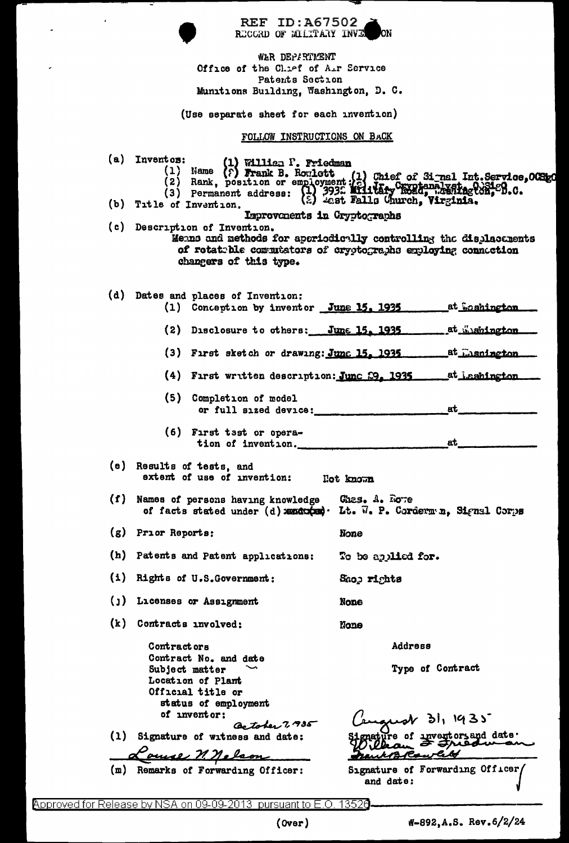|                                                                                                                  | <b>REF ID:A67502</b><br>RECORD OF MILITARY INVE                                                                                                                                                                                                       |                                                                   |
|------------------------------------------------------------------------------------------------------------------|-------------------------------------------------------------------------------------------------------------------------------------------------------------------------------------------------------------------------------------------------------|-------------------------------------------------------------------|
| WER DEPARTMENT<br>Office of the Chief of Air Service<br>Patents Section<br>Munitions Building, Washington, D. C. |                                                                                                                                                                                                                                                       |                                                                   |
| (Use separate sheet for each invention)                                                                          |                                                                                                                                                                                                                                                       |                                                                   |
| FOLLOW INSTRUCTIONS ON BACK                                                                                      |                                                                                                                                                                                                                                                       |                                                                   |
|                                                                                                                  | (a) Inventos:<br>tos: (1) William P. Friedman<br>(1) Name (?) Frank B. Rowlett (1) Chief of Signal Int. Service, OCSEO<br>(2) Rank, position or employment: (2) Chief of Signal Int. Service, OCSEO<br>(3) Permanent address: (2) 3932 Milliam Church |                                                                   |
|                                                                                                                  | (b) Title of Invention.<br>Improvements in Cryptographs                                                                                                                                                                                               |                                                                   |
|                                                                                                                  | (c) Description of Invention.<br>Means and methods for aperiodically controlling the displacements<br>of rotatible commutators of cryptographs employing connection<br>changers of this type.                                                         |                                                                   |
|                                                                                                                  | (d) Dates and places of Invention:<br>(1) Conception by inventor June 15, 1935                                                                                                                                                                        | _at_Goshington                                                    |
|                                                                                                                  |                                                                                                                                                                                                                                                       | (2) Disclosure to others: June 15, 1935 at Wishington             |
|                                                                                                                  | (3) First sketch or drawing: June 15. 1935 at Easnington                                                                                                                                                                                              |                                                                   |
|                                                                                                                  |                                                                                                                                                                                                                                                       | (4) First written description: Junc 29. 1935 ______ at Lashington |
|                                                                                                                  | (5)<br>Completion of model<br>or full sized device:                                                                                                                                                                                                   | at                                                                |
|                                                                                                                  | (6) First tast or opera<br>tion of invention.                                                                                                                                                                                                         | at i                                                              |
|                                                                                                                  | (e) Results of tests, and<br>extent of use of invention:                                                                                                                                                                                              | Hot known                                                         |
|                                                                                                                  | (f) Names of persons having knowledge<br>of facts stated under (d) xandoocad. Lt. W. P. Corderm n. Signal Corps                                                                                                                                       | Ghas. A. Rove                                                     |
|                                                                                                                  | $(g)$ Prior Reports:                                                                                                                                                                                                                                  | None                                                              |
|                                                                                                                  | (h) Patents and Patent applications:                                                                                                                                                                                                                  | To be applied for.                                                |
|                                                                                                                  | (i) Rights of U.S. Government:                                                                                                                                                                                                                        | Saop rights                                                       |
|                                                                                                                  | ()) Licenses or Assignment                                                                                                                                                                                                                            | None                                                              |
|                                                                                                                  | (k) Contracts involved:                                                                                                                                                                                                                               | None                                                              |
|                                                                                                                  | Contract ors                                                                                                                                                                                                                                          | Address                                                           |
|                                                                                                                  | Contract No. and date<br>Subject matter                                                                                                                                                                                                               | Type of Contract                                                  |
|                                                                                                                  | Location of Plant<br>Official title or                                                                                                                                                                                                                |                                                                   |
|                                                                                                                  | status of employment                                                                                                                                                                                                                                  |                                                                   |
|                                                                                                                  | of inventor:<br>Cartober 7, 35                                                                                                                                                                                                                        | 'engust dl, 1935                                                  |
|                                                                                                                  | (1) Signature of witness and date:                                                                                                                                                                                                                    | depending of investors and date.                                  |
|                                                                                                                  | ouse n. nelson                                                                                                                                                                                                                                        | nack B Rowles                                                     |
|                                                                                                                  | (m) Remarks of Forwarding Officer:                                                                                                                                                                                                                    | Signature of Forwarding Officer/<br>and date:                     |

Approved for Release by NSA on 09-09-2013 pursuant to E.O. 13520